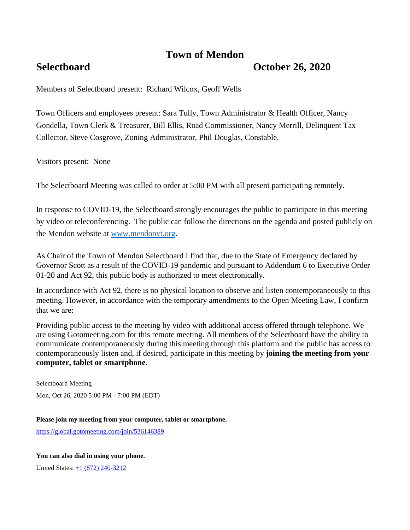# **Town of Mendon**

## **Selectboard October 26, 2020**

Members of Selectboard present: Richard Wilcox, Geoff Wells

Town Officers and employees present: Sara Tully, Town Administrator & Health Officer, Nancy Gondella, Town Clerk & Treasurer, Bill Ellis, Road Commissioner, Nancy Merrill, Delinquent Tax Collector, Steve Cosgrove, Zoning Administrator, Phil Douglas, Constable.

Visitors present: None

The Selectboard Meeting was called to order at 5:00 PM with all present participating remotely.

In response to COVID-19, the Selectboard strongly encourages the public to participate in this meeting by video or teleconferencing. The public can follow the directions on the agenda and posted publicly on the Mendon website at [www.mendonvt.org.](http://www.mendonvt.org/)

As Chair of the Town of Mendon Selectboard I find that, due to the State of Emergency declared by Governor Scott as a result of the COVID-19 pandemic and pursuant to Addendum 6 to Executive Order 01-20 and Act 92, this public body is authorized to meet electronically.

In accordance with Act 92, there is no physical location to observe and listen contemporaneously to this meeting. However, in accordance with the temporary amendments to the Open Meeting Law, I confirm that we are:

Providing public access to the meeting by video with additional access offered through telephone. We are using Gotomeeting.com for this remote meeting. All members of the Selectboard have the ability to communicate contemporaneously during this meeting through this platform and the public has access to contemporaneously listen and, if desired, participate in this meeting by **joining the meeting from your computer, tablet or smartphone.** 

Selectboard Meeting Mon, Oct 26, 2020 5:00 PM - 7:00 PM (EDT)

**Please join my meeting from your computer, tablet or smartphone.** 

<https://global.gotomeeting.com/join/536146389>

**You can also dial in using your phone.**

United States: [+1 \(872\) 240-3212](tel:+18722403212,,536146389)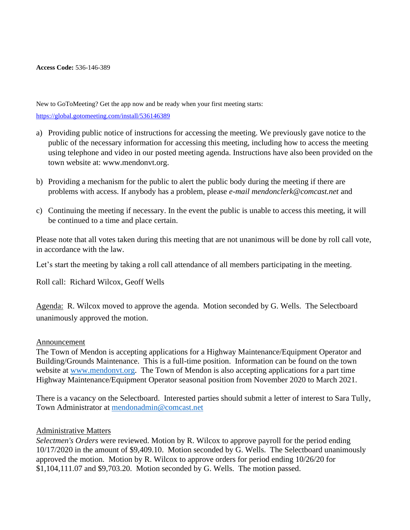**Access Code:** 536-146-389

New to GoToMeeting? Get the app now and be ready when your first meeting starts: <https://global.gotomeeting.com/install/536146389>

- a) Providing public notice of instructions for accessing the meeting. We previously gave notice to the public of the necessary information for accessing this meeting, including how to access the meeting using telephone and video in our posted meeting agenda. Instructions have also been provided on the town website at: www.mendonvt.org.
- b) Providing a mechanism for the public to alert the public body during the meeting if there are problems with access. If anybody has a problem, please *e-mail mendonclerk@comcast.net* and
- c) Continuing the meeting if necessary. In the event the public is unable to access this meeting, it will be continued to a time and place certain.

Please note that all votes taken during this meeting that are not unanimous will be done by roll call vote, in accordance with the law.

Let's start the meeting by taking a roll call attendance of all members participating in the meeting.

Roll call: Richard Wilcox, Geoff Wells

Agenda: R. Wilcox moved to approve the agenda. Motion seconded by G. Wells. The Selectboard unanimously approved the motion.

### Announcement

The Town of Mendon is accepting applications for a Highway Maintenance/Equipment Operator and Building/Grounds Maintenance. This is a full-time position. Information can be found on the town website at [www.mendonvt.org.](http://www.mendonvt.org/) The Town of Mendon is also accepting applications for a part time Highway Maintenance/Equipment Operator seasonal position from November 2020 to March 2021.

There is a vacancy on the Selectboard. Interested parties should submit a letter of interest to Sara Tully, Town Administrator at [mendonadmin@comcast.net](mailto:mendonadmin@comcast.net)

### Administrative Matters

*Selectmen's Orders* were reviewed. Motion by R. Wilcox to approve payroll for the period ending 10/17/2020 in the amount of \$9,409.10. Motion seconded by G. Wells. The Selectboard unanimously approved the motion. Motion by R. Wilcox to approve orders for period ending 10/26/20 for \$1,104,111.07 and \$9,703.20. Motion seconded by G. Wells. The motion passed.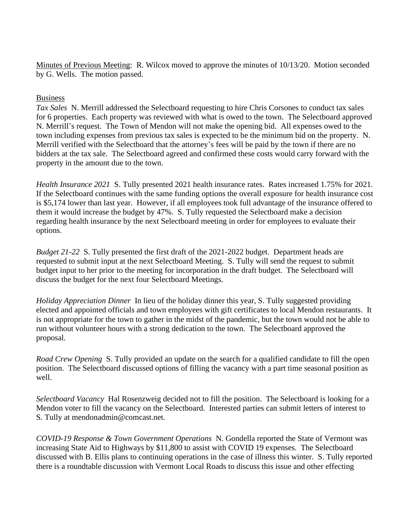Minutes of Previous Meeting: R. Wilcox moved to approve the minutes of 10/13/20. Motion seconded by G. Wells. The motion passed.

## Business

*Tax Sales* N. Merrill addressed the Selectboard requesting to hire Chris Corsones to conduct tax sales for 6 properties. Each property was reviewed with what is owed to the town. The Selectboard approved N. Merrill's request. The Town of Mendon will not make the opening bid. All expenses owed to the town including expenses from previous tax sales is expected to be the minimum bid on the property. N. Merrill verified with the Selectboard that the attorney's fees will be paid by the town if there are no bidders at the tax sale. The Selectboard agreed and confirmed these costs would carry forward with the property in the amount due to the town.

*Health Insurance 2021* S. Tully presented 2021 health insurance rates. Rates increased 1.75% for 2021. If the Selectboard continues with the same funding options the overall exposure for health insurance cost is \$5,174 lower than last year. However, if all employees took full advantage of the insurance offered to them it would increase the budget by 47%.S. Tully requested the Selectboard make a decision regarding health insurance by the next Selectboard meeting in order for employees to evaluate their options.

*Budget 21-22* S. Tully presented the first draft of the 2021-2022 budget. Department heads are requested to submit input at the next Selectboard Meeting. S. Tully will send the request to submit budget input to her prior to the meeting for incorporation in the draft budget. The Selectboard will discuss the budget for the next four Selectboard Meetings.

*Holiday Appreciation Dinner* In lieu of the holiday dinner this year, S. Tully suggested providing elected and appointed officials and town employees with gift certificates to local Mendon restaurants. It is not appropriate for the town to gather in the midst of the pandemic, but the town would not be able to run without volunteer hours with a strong dedication to the town. The Selectboard approved the proposal.

*Road Crew Opening* S. Tully provided an update on the search for a qualified candidate to fill the open position. The Selectboard discussed options of filling the vacancy with a part time seasonal position as well.

*Selectboard Vacancy* Hal Rosenzweig decided not to fill the position. The Selectboard is looking for a Mendon voter to fill the vacancy on the Selectboard. Interested parties can submit letters of interest to S. Tully at mendonadmin@comcast.net.

*COVID-19 Response & Town Government Operations* N. Gondella reported the State of Vermont was increasing State Aid to Highways by \$11,800 to assist with COVID 19 expenses. The Selectboard discussed with B. Ellis plans to continuing operations in the case of illness this winter. S. Tully reported there is a roundtable discussion with Vermont Local Roads to discuss this issue and other effecting